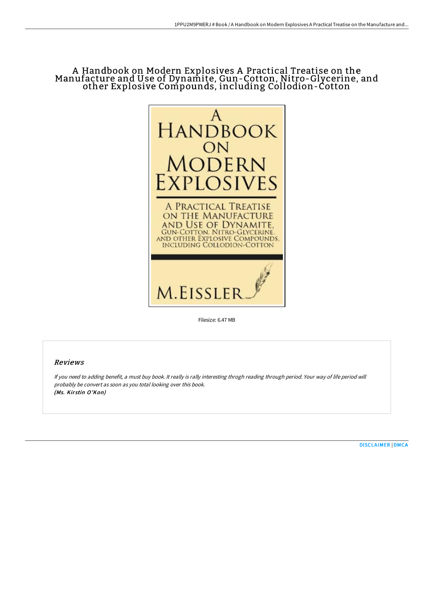# A Handbook on Modern Explosives A Practical Treatise on the Manufacture and Use of Dynamite, Gun-Cotton, Nitro-Glycerine, and other Explosive Compounds, including Collodion-Cotton



Filesize: 6.47 MB

## Reviews

If you need to adding benefit, a must buy book. It really is rally interesting throgh reading through period. Your way of life period will probably be convert as soon as you total looking over this book. (Ms. Kirstin O'Kon)

[DISCLAIMER](http://techno-pub.tech/disclaimer.html) | [DMCA](http://techno-pub.tech/dmca.html)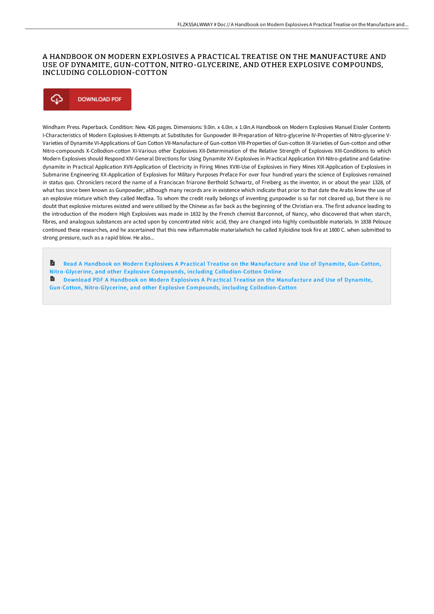### A HANDBOOK ON MODERN EXPLOSIVES A PRACTICAL TREATISE ON THE MANUFACTURE AND USE OF DYNAMITE, GUN-COTTON, NITRO-GLYCERINE, AND OTHER EXPLOSIVE COMPOUNDS, INCLUDING COLLODION-COTTON

## Φ **DOWNLOAD PDF**

Windham Press. Paperback. Condition: New. 426 pages. Dimensions: 9.0in. x 6.0in. x 1.0in.A Handbook on Modern Explosives Manuel Eissler Contents I-Characteristics of Modern Explosives II-Attempts at Substitutes for Gunpowder III-Preparation of Nitro-glycerine IV-Properties of Nitro-glycerine V-Varieties of Dynamite VI-Applications of Gun Cotton VII-Manufacture of Gun-cotton VIII-Properties of Gun-cotton IX-Varieties of Gun-cotton and other Nitro-compounds X-Collodion-cotton XI-Various other Explosives XII-Determination of the Relative Strength of Explosives XIII-Conditions to which Modern Explosives should Respond XIV-General Directions for Using Dynamite XV-Explosives in Practical Application XVI-Nitro-gelatine and Gelatinedynamite in Practical Application XVII-Application of Electricity in Firing Mines XVIII-Use of Explosives in Fiery Mines XIX-Application of Explosives in Submarine Engineering XX-Application of Explosives for Military Purposes Preface For over four hundred years the science of Explosives remained in status quo. Chroniclers record the name of a Franciscan friarone Berthold Schwartz, of Freiberg as the inventor, in or about the year 1328, of what has since been known as Gunpowder; although many records are in existence which indicate that prior to that date the Arabs knew the use of an explosive mixture which they called Medfaa. To whom the credit really belongs of inventing gunpowder is so far not cleared up, but there is no doubt that explosive mixtures existed and were utilised by the Chinese as far back as the beginning of the Christian era. The first advance leading to the introduction of the modern High Explosives was made in 1832 by the French chemist Barconnot, of Nancy, who discovered that when starch, fibres, and analogous substances are acted upon by concentrated nitric acid, they are changed into highly combustible materials. In 1838 Pelouze continued these researches, and he ascertained that this new inflammable materialwhich he called Xyloidine took fire at 1800 C. when submitted to strong pressure, such as a rapid blow. He also...

A Read A Handbook on Modern Explosives A Practical Treatise on the Manufacture and Use of Dynamite, Gun-Cotton, Nitro-Glycerine, and other Explosive Compounds, including [Collodion-Cotton](http://techno-pub.tech/a-handbook-on-modern-explosives-a-practical-trea.html) Online **E** Download PDF A Handbook on Modern Explosives A Practical Treatise on the Manufacture and Use of Dynamite, Gun-Cotton, Nitro-Glycerine, and other Explosive Compounds, including [Collodion-Cotton](http://techno-pub.tech/a-handbook-on-modern-explosives-a-practical-trea.html)